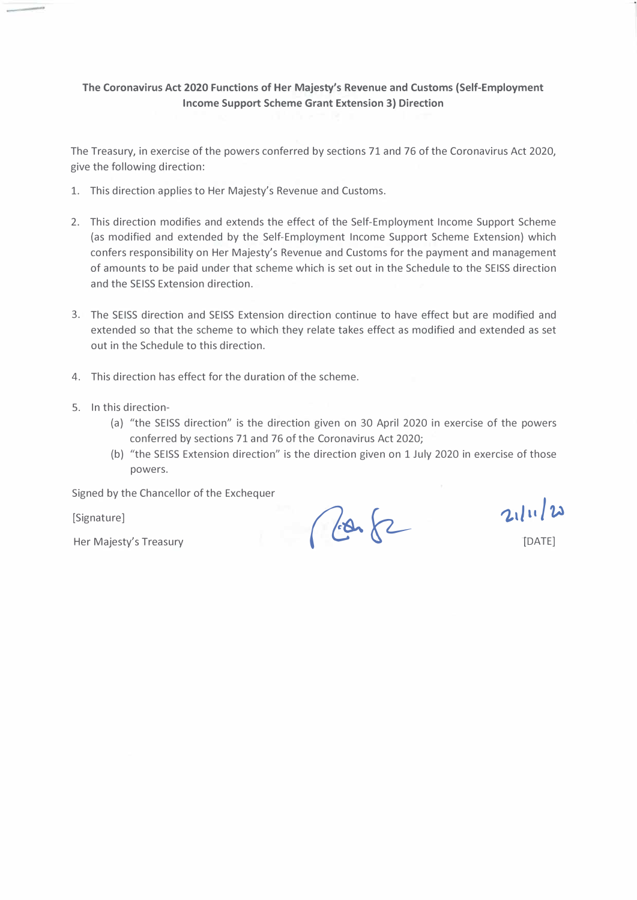#### **The Coronavirus Act 2020 Functions of Her Majesty's Revenue and Customs (Self-Employment Income Support Scheme Grant Extension 3) Direction**

The Treasury, in exercise of the powers conferred by sections 71 and 76 of the Coronavirus Act 2020, give the following direction:

- 1. This direction applies to Her Majesty's Revenue and Customs.
- 2. This direction modifies and extends the effect of the Self-Employment Income Support Scheme (as modified and extended by the Self-Employment Income Support Scheme Extension) which confers responsibility on Her Majesty's Revenue and Customs for the payment and management of amounts to be paid under that scheme which is set out in the Schedule to the SEISS direction and the SEISS Extension direction.
- 3. The SEISS direction and SEISS Extension direction continue to have effect but are modified and extended so that the scheme to which they relate takes effect as modified and extended as set out in the Schedule to this direction.
- 4. This direction has effect for the duration of the scheme.
- 5. In this direction-
	- (a) "the SEISS direction" is the direction given on 30 April 2020 in exercise of the powers conferred by sections 71 and 76 of the Coronavirus Act 2020;
	- (b) "the SEISS Extension direction" is the direction given on 1 July 2020 in exercise of those powers.

Signed by the Chancellor of the Exchequer

[Signature]

 $\frac{1}{\text{[Signature]}}$ <br>
Her Majesty's Treasury **and the Majesty's Treasury** 

TDATE]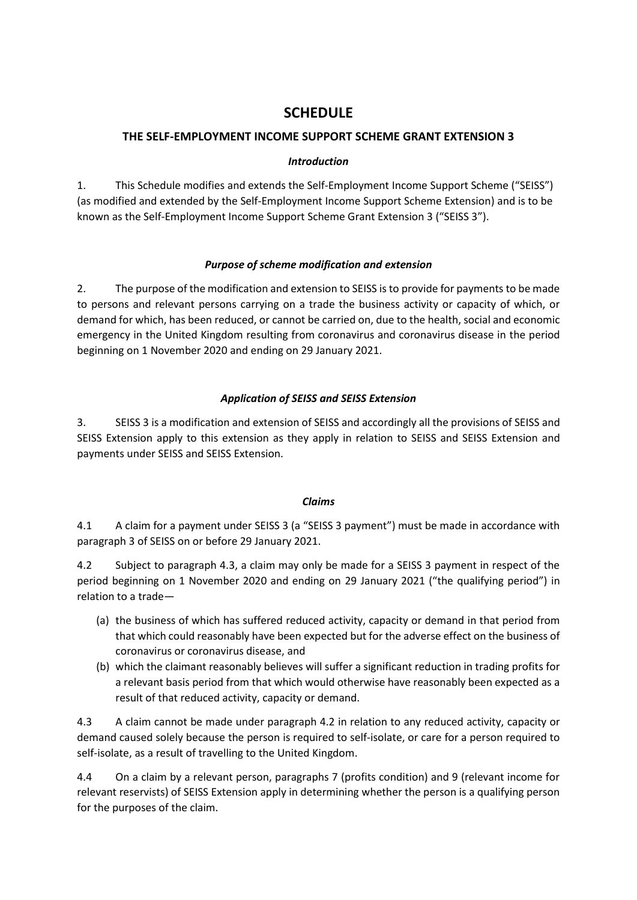# **SCHEDULE**

# **THE SELF-EMPLOYMENT INCOME SUPPORT SCHEME GRANT EXTENSION 3**

## *Introduction*

1. This Schedule modifies and extends the Self-Employment Income Support Scheme ("SEISS") (as modified and extended by the Self-Employment Income Support Scheme Extension) and is to be known as the Self-Employment Income Support Scheme Grant Extension 3 ("SEISS 3").

## *Purpose of scheme modification and extension*

2. The purpose of the modification and extension to SEISS is to provide for payments to be made to persons and relevant persons carrying on a trade the business activity or capacity of which, or demand for which, has been reduced, or cannot be carried on, due to the health, social and economic emergency in the United Kingdom resulting from coronavirus and coronavirus disease in the period beginning on 1 November 2020 and ending on 29 January 2021.

# *Application of SEISS and SEISS Extension*

3. SEISS 3 is a modification and extension of SEISS and accordingly all the provisions of SEISS and SEISS Extension apply to this extension as they apply in relation to SEISS and SEISS Extension and payments under SEISS and SEISS Extension.

#### *Claims*

4.1 A claim for a payment under SEISS 3 (a "SEISS 3 payment") must be made in accordance with paragraph 3 of SEISS on or before 29 January 2021.

4.2 Subject to paragraph 4.3, a claim may only be made for a SEISS 3 payment in respect of the period beginning on 1 November 2020 and ending on 29 January 2021 ("the qualifying period") in relation to a trade—

- (a) the business of which has suffered reduced activity, capacity or demand in that period from that which could reasonably have been expected but for the adverse effect on the business of coronavirus or coronavirus disease, and
- (b) which the claimant reasonably believes will suffer a significant reduction in trading profits for a relevant basis period from that which would otherwise have reasonably been expected as a result of that reduced activity, capacity or demand.

4.3 A claim cannot be made under paragraph 4.2 in relation to any reduced activity, capacity or demand caused solely because the person is required to self-isolate, or care for a person required to self-isolate, as a result of travelling to the United Kingdom.

4.4 On a claim by a relevant person, paragraphs 7 (profits condition) and 9 (relevant income for relevant reservists) of SEISS Extension apply in determining whether the person is a qualifying person for the purposes of the claim.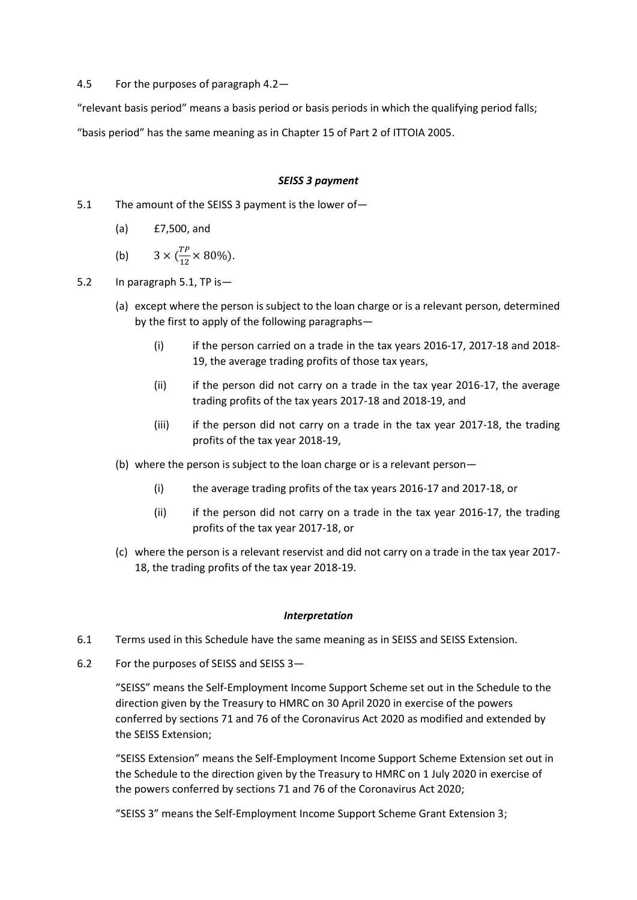4.5 For the purposes of paragraph 4.2—

"relevant basis period" means a basis period or basis periods in which the qualifying period falls;

"basis period" has the same meaning as in Chapter 15 of Part 2 of ITTOIA 2005.

#### *SEISS 3 payment*

- 5.1 The amount of the SEISS 3 payment is the lower of—
	- (a) £7,500, and
	- (b)  $3 \times (\frac{TP}{12})$  $\frac{11}{12} \times 80\%$ ).
- 5.2 In paragraph 5.1, TP is—
	- (a) except where the person is subject to the loan charge or is a relevant person, determined by the first to apply of the following paragraphs—
		- (i) if the person carried on a trade in the tax years 2016-17, 2017-18 and 2018- 19, the average trading profits of those tax years,
		- (ii) if the person did not carry on a trade in the tax year 2016-17, the average trading profits of the tax years 2017-18 and 2018-19, and
		- (iii) if the person did not carry on a trade in the tax year 2017-18, the trading profits of the tax year 2018-19,
	- (b) where the person is subject to the loan charge or is a relevant person—
		- (i) the average trading profits of the tax years 2016-17 and 2017-18, or
		- (ii) if the person did not carry on a trade in the tax year 2016-17, the trading profits of the tax year 2017-18, or
	- (c) where the person is a relevant reservist and did not carry on a trade in the tax year 2017- 18, the trading profits of the tax year 2018-19.

#### *Interpretation*

- 6.1 Terms used in this Schedule have the same meaning as in SEISS and SEISS Extension.
- 6.2 For the purposes of SEISS and SEISS 3—

"SEISS" means the Self-Employment Income Support Scheme set out in the Schedule to the direction given by the Treasury to HMRC on 30 April 2020 in exercise of the powers conferred by sections 71 and 76 of the Coronavirus Act 2020 as modified and extended by the SEISS Extension;

"SEISS Extension" means the Self-Employment Income Support Scheme Extension set out in the Schedule to the direction given by the Treasury to HMRC on 1 July 2020 in exercise of the powers conferred by sections 71 and 76 of the Coronavirus Act 2020;

"SEISS 3" means the Self-Employment Income Support Scheme Grant Extension 3;